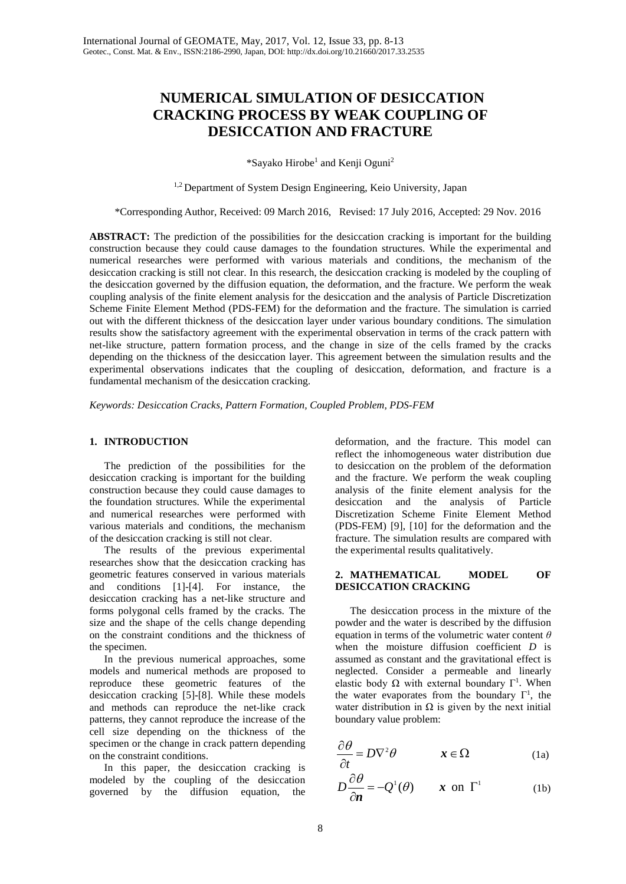# **NUMERICAL SIMULATION OF DESICCATION CRACKING PROCESS BY WEAK COUPLING OF DESICCATION AND FRACTURE**

\*Sayako Hirobe<sup>1</sup> and Kenii Oguni<sup>2</sup>

<sup>1,2</sup> Department of System Design Engineering, Keio University, Japan

\*Corresponding Author, Received: 09 March 2016, Revised: 17 July 2016, Accepted: 29 Nov. 2016

**ABSTRACT:** The prediction of the possibilities for the desiccation cracking is important for the building construction because they could cause damages to the foundation structures. While the experimental and numerical researches were performed with various materials and conditions, the mechanism of the desiccation cracking is still not clear. In this research, the desiccation cracking is modeled by the coupling of the desiccation governed by the diffusion equation, the deformation, and the fracture. We perform the weak coupling analysis of the finite element analysis for the desiccation and the analysis of Particle Discretization Scheme Finite Element Method (PDS-FEM) for the deformation and the fracture. The simulation is carried out with the different thickness of the desiccation layer under various boundary conditions. The simulation results show the satisfactory agreement with the experimental observation in terms of the crack pattern with net-like structure, pattern formation process, and the change in size of the cells framed by the cracks depending on the thickness of the desiccation layer. This agreement between the simulation results and the experimental observations indicates that the coupling of desiccation, deformation, and fracture is a fundamental mechanism of the desiccation cracking.

*Keywords: Desiccation Cracks, Pattern Formation, Coupled Problem, PDS-FEM*

#### **1. INTRODUCTION**

The prediction of the possibilities for the desiccation cracking is important for the building construction because they could cause damages to the foundation structures. While the experimental and numerical researches were performed with various materials and conditions, the mechanism of the desiccation cracking is still not clear.

The results of the previous experimental researches show that the desiccation cracking has geometric features conserved in various materials and conditions [1]-[4]. For instance, the desiccation cracking has a net-like structure and forms polygonal cells framed by the cracks. The size and the shape of the cells change depending on the constraint conditions and the thickness of the specimen.

In the previous numerical approaches, some models and numerical methods are proposed to reproduce these geometric features of the desiccation cracking [5]-[8]. While these models and methods can reproduce the net-like crack patterns, they cannot reproduce the increase of the cell size depending on the thickness of the specimen or the change in crack pattern depending on the constraint conditions.

In this paper, the desiccation cracking is modeled by the coupling of the desiccation governed by the diffusion equation, the

deformation, and the fracture. This model can reflect the inhomogeneous water distribution due to desiccation on the problem of the deformation and the fracture. We perform the weak coupling analysis of the finite element analysis for the desiccation and the analysis Discretization Scheme Finite Element Method (PDS-FEM) [9], [10] for the deformation and the fracture. The simulation results are compared with the experimental results qualitatively.

#### **2. MATHEMATICAL MODEL OF DESICCATION CRACKING**

The desiccation process in the mixture of the powder and the water is described by the diffusion equation in terms of the volumetric water content *θ* when the moisture diffusion coefficient *D* is assumed as constant and the gravitational effect is neglected. Consider a permeable and linearly elastic body  $\Omega$  with external boundary Γ<sup>1</sup>. When the water evaporates from the boundary  $\Gamma^1$ , the water distribution in  $\Omega$  is given by the next initial boundary value problem:

$$
\frac{\partial \theta}{\partial t} = D \nabla^2 \theta \qquad \qquad \mathbf{x} \in \Omega \tag{1a}
$$

$$
D\frac{\partial \theta}{\partial n} = -Q^1(\theta) \qquad x \text{ on } \Gamma^1 \tag{1b}
$$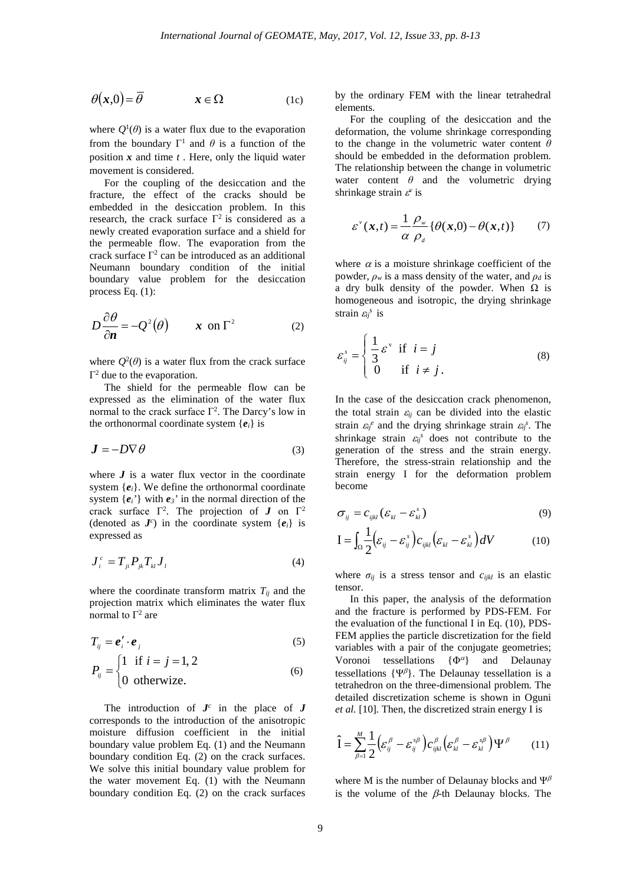$$
\theta(x,0) = \overline{\theta} \qquad x \in \Omega \qquad (1c)
$$

where  $Q^1(\theta)$  is a water flux due to the evaporation from the boundary  $\Gamma^1$  and  $\theta$  is a function of the position *x* and time *t* . Here, only the liquid water movement is considered.

For the coupling of the desiccation and the fracture, the effect of the cracks should be embedded in the desiccation problem. In this research, the crack surface  $\Gamma^2$  is considered as a newly created evaporation surface and a shield for the permeable flow. The evaporation from the crack surface  $\Gamma^2$  can be introduced as an additional Neumann boundary condition of the initial boundary value problem for the desiccation process Eq. (1):

$$
D\frac{\partial \theta}{\partial n} = -Q^2(\theta) \qquad x \text{ on } \Gamma^2 \tag{2}
$$

where  $Q^2(\theta)$  is a water flux from the crack surface  $Γ<sup>2</sup>$  due to the evaporation.

The shield for the permeable flow can be expressed as the elimination of the water flux normal to the crack surface  $\Gamma^2$ . The Darcy's low in the orthonormal coordinate system  ${e_i}$  is

$$
\mathbf{J} = -D\nabla\theta\tag{3}
$$

where  $J$  is a water flux vector in the coordinate system  ${e_i}$ . We define the orthonormal coordinate system {*ei'*} with *e3'* in the normal direction of the crack surface  $\Gamma^2$ . The projection of *J* on  $\Gamma^2$ (denoted as  $J^c$ ) in the coordinate system  $\{e_i\}$  is expressed as

$$
\boldsymbol{J}_i^c = \boldsymbol{T}_{ji} \boldsymbol{P}_{jk} \boldsymbol{T}_{kl} \boldsymbol{J}_l \tag{4}
$$

where the coordinate transform matrix  $T_{ij}$  and the projection matrix which eliminates the water flux normal to  $\Gamma^2$  are

$$
T_{ij} = \boldsymbol{e}'_i \cdot \boldsymbol{e}_j \tag{5}
$$

$$
P_{ij} = \begin{cases} 1 & \text{if } i = j = 1, 2 \\ 0 & \text{otherwise.} \end{cases}
$$
 (6)

The introduction of  $J^c$  in the place of  $J$ corresponds to the introduction of the anisotropic moisture diffusion coefficient in the initial boundary value problem Eq. (1) and the Neumann boundary condition Eq. (2) on the crack surfaces. We solve this initial boundary value problem for the water movement Eq. (1) with the Neumann boundary condition Eq. (2) on the crack surfaces by the ordinary FEM with the linear tetrahedral elements.

For the coupling of the desiccation and the deformation, the volume shrinkage corresponding to the change in the volumetric water content *θ* should be embedded in the deformation problem. The relationship between the change in volumetric water content  $\theta$  and the volumetric drying shrinkage strain <sup>ε</sup> *<sup>v</sup>* is

$$
\varepsilon^{v}(x,t) = \frac{1}{\alpha} \frac{\rho_{w}}{\rho_{d}} \{ \theta(x,0) - \theta(x,t) \}
$$
 (7)

where  $\alpha$  is a moisture shrinkage coefficient of the powder,  $\rho_w$  is a mass density of the water, and  $\rho_d$  is a dry bulk density of the powder. When  $\Omega$  is homogeneous and isotropic, the drying shrinkage strain  $\varepsilon_{ij}^s$  is

$$
\varepsilon_{ij}^s = \begin{cases} \frac{1}{3} \varepsilon^v & \text{if } i = j \\ 0 & \text{if } i \neq j. \end{cases}
$$
 (8)

In the case of the desiccation crack phenomenon, the total strain  $\varepsilon_{ii}$  can be divided into the elastic strain  $\varepsilon_{ij}^e$  and the drying shrinkage strain  $\varepsilon_{ij}^s$ . The shrinkage strain  $\varepsilon_{ij}^s$  does not contribute to the generation of the stress and the strain energy. Therefore, the stress-strain relationship and the strain energy I for the deformation problem become

$$
\sigma_{ij} = c_{ijkl} (\varepsilon_{kl} - \varepsilon_{kl}^s)
$$
 (9)

$$
\mathbf{I} = \int_{\Omega} \frac{1}{2} \Big( \varepsilon_{ij} - \varepsilon_{ij}^s \Big) c_{ijkl} \Big( \varepsilon_{kl} - \varepsilon_{kl}^s \Big) dV \tag{10}
$$

where  $\sigma_{ij}$  is a stress tensor and  $c_{ijkl}$  is an elastic tensor.

In this paper, the analysis of the deformation and the fracture is performed by PDS-FEM. For the evaluation of the functional I in Eq. (10), PDS-FEM applies the particle discretization for the field variables with a pair of the conjugate geometries; Voronoi tessellations  $\{\Phi^{\alpha}\}\$  and Delaunay tessellations  $\{\Psi^{\beta}\}\$ . The Delaunay tessellation is a tetrahedron on the three-dimensional problem. The detailed discretization scheme is shown in Oguni *et al.* [10]*.* Then, the discretized strain energy I is

$$
\hat{\mathbf{I}} = \sum_{\beta=1}^{M} \frac{1}{2} \Big( \varepsilon_{ij}^{\beta} - \varepsilon_{ij}^{s\beta} \Big) c_{ijkl}^{\beta} \Big( \varepsilon_{kl}^{\beta} - \varepsilon_{kl}^{s\beta} \Big) \Psi^{\beta} \qquad (11)
$$

where M is the number of Delaunay blocks and  $\Psi^{\beta}$ is the volume of the  $\beta$ -th Delaunay blocks. The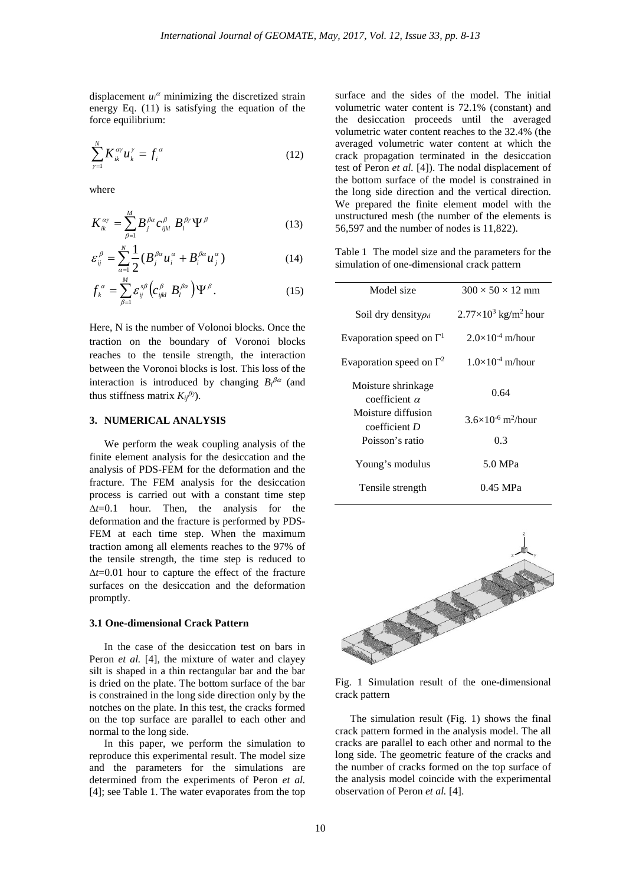displacement  $u_i^{\alpha}$  minimizing the discretized strain energy Eq. (11) is satisfying the equation of the force equilibrium:

$$
\sum_{\gamma=1}^{N} K_{ik}^{\alpha\gamma} u_k^{\gamma} = f_i^{\alpha} \tag{12}
$$

where

$$
K_{ik}^{\alpha\gamma} = \sum_{\beta=1}^{M} B_j^{\beta\alpha} c_{ijkl}^{\beta} B_l^{\beta\gamma} \Psi^{\beta}
$$
 (13)

$$
\varepsilon_{ij}^{\beta} = \sum_{\alpha=1}^{N} \frac{1}{2} (B_j^{\beta \alpha} u_i^{\alpha} + B_i^{\beta \alpha} u_j^{\alpha})
$$
 (14)

$$
f_{k}^{\alpha} = \sum_{\beta=1}^{M} \varepsilon_{ij}^{s\beta} \left( c_{ijkl}^{\beta} B_{l}^{\beta\alpha} \right) \Psi^{\beta}.
$$
 (15)

Here, N is the number of Volonoi blocks. Once the traction on the boundary of Voronoi blocks reaches to the tensile strength, the interaction between the Voronoi blocks is lost. This loss of the interaction is introduced by changing  $B_i^{\beta\alpha}$  (and thus stiffness matrix  $K_{ij}^{\beta\gamma}$ ).

# **3. NUMERICAL ANALYSIS**

We perform the weak coupling analysis of the finite element analysis for the desiccation and the analysis of PDS-FEM for the deformation and the fracture. The FEM analysis for the desiccation process is carried out with a constant time step ∆*t*=0.1 hour. Then, the analysis for the deformation and the fracture is performed by PDS-FEM at each time step. When the maximum traction among all elements reaches to the 97% of the tensile strength, the time step is reduced to ∆*t*=0.01 hour to capture the effect of the fracture surfaces on the desiccation and the deformation promptly.

#### **3.1 One-dimensional Crack Pattern**

In the case of the desiccation test on bars in Peron *et al.* [4], the mixture of water and clayey silt is shaped in a thin rectangular bar and the bar is dried on the plate. The bottom surface of the bar is constrained in the long side direction only by the notches on the plate. In this test, the cracks formed on the top surface are parallel to each other and normal to the long side.

In this paper, we perform the simulation to reproduce this experimental result. The model size and the parameters for the simulations are determined from the experiments of Peron *et al.* [4]; see Table 1. The water evaporates from the top surface and the sides of the model. The initial volumetric water content is 72.1% (constant) and the desiccation proceeds until the averaged volumetric water content reaches to the 32.4% (the averaged volumetric water content at which the crack propagation terminated in the desiccation test of Peron *et al.* [4]). The nodal displacement of the bottom surface of the model is constrained in the long side direction and the vertical direction. We prepared the finite element model with the unstructured mesh (the number of the elements is 56,597 and the number of nodes is 11,822).

Table 1 The model size and the parameters for the simulation of one-dimensional crack pattern

| Model size                                 | $300 \times 50 \times 12$ mm            |
|--------------------------------------------|-----------------------------------------|
| Soil dry density $\rho_d$                  | $2.77\times10^3$ kg/m <sup>2</sup> hour |
| Evaporation speed on $\Gamma$ <sup>1</sup> | $2.0\times10^{-4}$ m/hour               |
| Evaporation speed on $\Gamma^2$            | $1.0\times10^{-4}$ m/hour               |
| Moisture shrinkage<br>coefficient $\alpha$ | 0.64                                    |
| Moisture diffusion<br>coefficient D        | $3.6\times10^{-6}$ m <sup>2</sup> /hour |
| Poisson's ratio                            | 0.3                                     |
| Young's modulus                            | 5.0 MPa                                 |
| Tensile strength                           | 0.45 MPa                                |



Fig. 1 Simulation result of the one-dimensional crack pattern

The simulation result (Fig. 1) shows the final crack pattern formed in the analysis model. The all cracks are parallel to each other and normal to the long side. The geometric feature of the cracks and the number of cracks formed on the top surface of the analysis model coincide with the experimental observation of Peron *et al.* [4].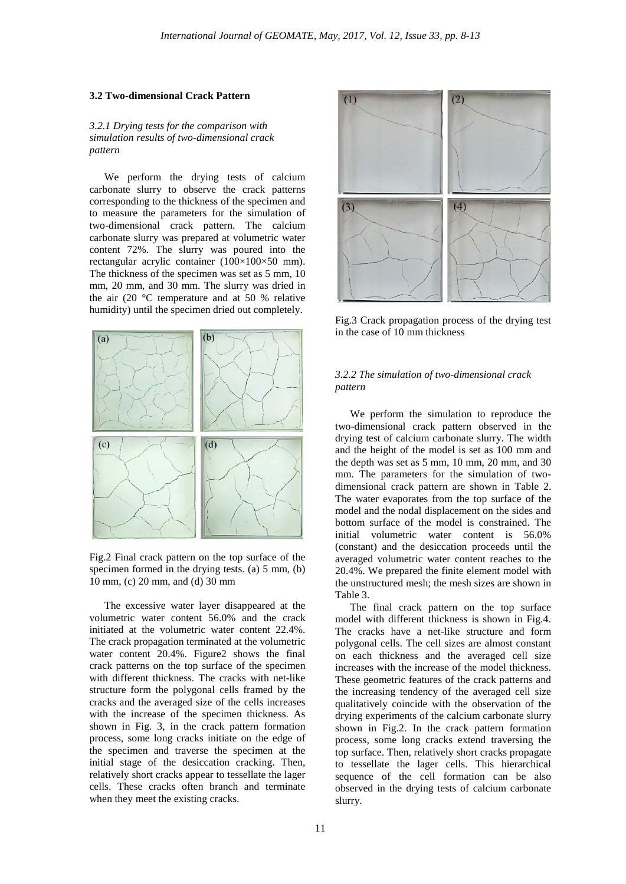# **3.2 Two-dimensional Crack Pattern**

#### *3.2.1 Drying tests for the comparison with simulation results of two-dimensional crack pattern*

We perform the drying tests of calcium carbonate slurry to observe the crack patterns corresponding to the thickness of the specimen and to measure the parameters for the simulation of two-dimensional crack pattern. The calcium carbonate slurry was prepared at volumetric water content 72%. The slurry was poured into the rectangular acrylic container (100×100×50 mm). The thickness of the specimen was set as 5 mm, 10 mm, 20 mm, and 30 mm. The slurry was dried in the air (20 $\degree$ C temperature and at 50 % relative humidity) until the specimen dried out completely.



Fig.2 Final crack pattern on the top surface of the specimen formed in the drying tests. (a) 5 mm, (b) 10 mm, (c) 20 mm, and (d) 30 mm

The excessive water layer disappeared at the volumetric water content 56.0% and the crack initiated at the volumetric water content 22.4%. The crack propagation terminated at the volumetric water content 20.4%. Figure2 shows the final crack patterns on the top surface of the specimen with different thickness. The cracks with net-like structure form the polygonal cells framed by the cracks and the averaged size of the cells increases with the increase of the specimen thickness. As shown in Fig. 3, in the crack pattern formation process, some long cracks initiate on the edge of the specimen and traverse the specimen at the initial stage of the desiccation cracking. Then, relatively short cracks appear to tessellate the lager cells. These cracks often branch and terminate when they meet the existing cracks.



Fig.3 Crack propagation process of the drying test in the case of 10 mm thickness

# *3.2.2 The simulation of two-dimensional crack pattern*

We perform the simulation to reproduce the two-dimensional crack pattern observed in the drying test of calcium carbonate slurry. The width and the height of the model is set as 100 mm and the depth was set as 5 mm, 10 mm, 20 mm, and 30 mm. The parameters for the simulation of twodimensional crack pattern are shown in Table 2. The water evaporates from the top surface of the model and the nodal displacement on the sides and bottom surface of the model is constrained. The initial volumetric water content is 56.0% (constant) and the desiccation proceeds until the averaged volumetric water content reaches to the 20.4%. We prepared the finite element model with the unstructured mesh; the mesh sizes are shown in Table 3.

The final crack pattern on the top surface model with different thickness is shown in Fig.4. The cracks have a net-like structure and form polygonal cells. The cell sizes are almost constant on each thickness and the averaged cell size increases with the increase of the model thickness. These geometric features of the crack patterns and the increasing tendency of the averaged cell size qualitatively coincide with the observation of the drying experiments of the calcium carbonate slurry shown in Fig.2. In the crack pattern formation process, some long cracks extend traversing the top surface. Then, relatively short cracks propagate to tessellate the lager cells. This hierarchical sequence of the cell formation can be also observed in the drying tests of calcium carbonate slurry.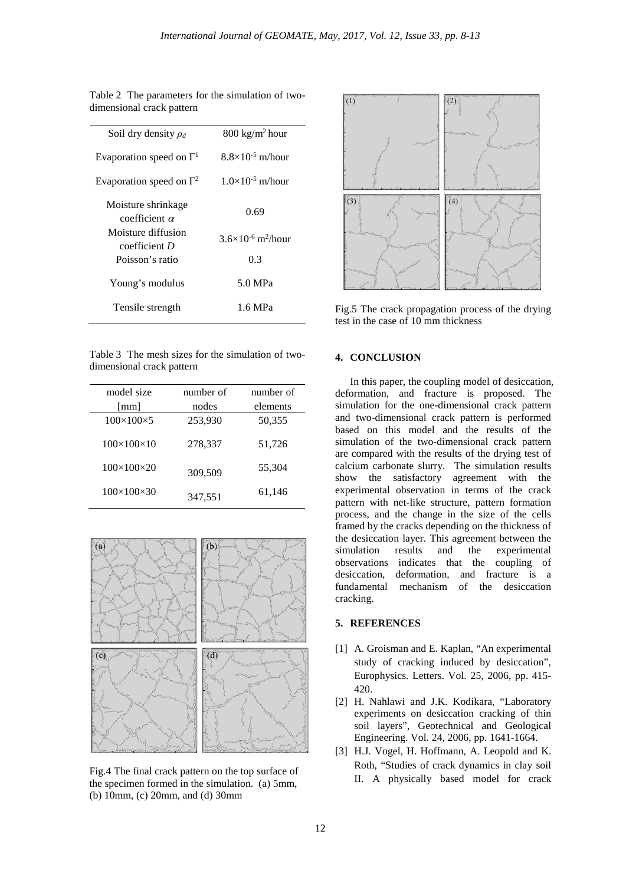| Soil dry density $\rho_d$                                                                              | $800 \text{ kg/m}^2$ hour               |
|--------------------------------------------------------------------------------------------------------|-----------------------------------------|
| Evaporation speed on $\Gamma$ <sup>1</sup>                                                             | $8.8\times10^{-5}$ m/hour               |
| Evaporation speed on $\Gamma^2$                                                                        | $1.0\times10^{-5}$ m/hour               |
| Moisture shrinkage<br>coefficient $\alpha$<br>Moisture diffusion<br>$coefficient$ D<br>Poisson's ratio | 0.69                                    |
|                                                                                                        | $3.6\times10^{-6}$ m <sup>2</sup> /hour |
|                                                                                                        | 0.3                                     |
| Young's modulus                                                                                        | 5.0 MPa                                 |
| Tensile strength                                                                                       | 1.6 MPa                                 |

Table 2 The parameters for the simulation of twodimensional crack pattern

Table 3 The mesh sizes for the simulation of twodimensional crack pattern

| model size                 | number of | number of |
|----------------------------|-----------|-----------|
| [mm]                       | nodes     | elements  |
| $100\times100\times5$      | 253,930   | 50,355    |
| $100 \times 100 \times 10$ | 278,337   | 51,726    |
| $100\times100\times20$     | 309,509   | 55,304    |
| $100\times100\times30$     | 347,551   | 61,146    |



Fig.4 The final crack pattern on the top surface of the specimen formed in the simulation. (a) 5mm, (b) 10mm, (c) 20mm, and (d) 30mm



Fig.5 The crack propagation process of the drying test in the case of 10 mm thickness

## **4. CONCLUSION**

In this paper, the coupling model of desiccation, deformation, and fracture is proposed. The simulation for the one-dimensional crack pattern and two-dimensional crack pattern is performed based on this model and the results of the simulation of the two-dimensional crack pattern are compared with the results of the drying test of calcium carbonate slurry. The simulation results show the satisfactory agreement with the experimental observation in terms of the crack pattern with net-like structure, pattern formation process, and the change in the size of the cells framed by the cracks depending on the thickness of the desiccation layer. This agreement between the simulation results and the experimental observations indicates that the coupling of desiccation, deformation, and fracture is a fundamental mechanism of the desiccation cracking.

## **5. REFERENCES**

- [1] A. Groisman and E. Kaplan, "An experimental study of cracking induced by desiccation", Europhysics. Letters. Vol. 25, 2006, pp. 415- 420.
- [2] H. Nahlawi and J.K. Kodikara, "Laboratory experiments on desiccation cracking of thin soil layers", Geotechnical and Geological Engineering. Vol. 24, 2006, pp. 1641-1664.
- [3] H.J. Vogel, H. Hoffmann, A. Leopold and K. Roth, "Studies of crack dynamics in clay soil II. A physically based model for crack